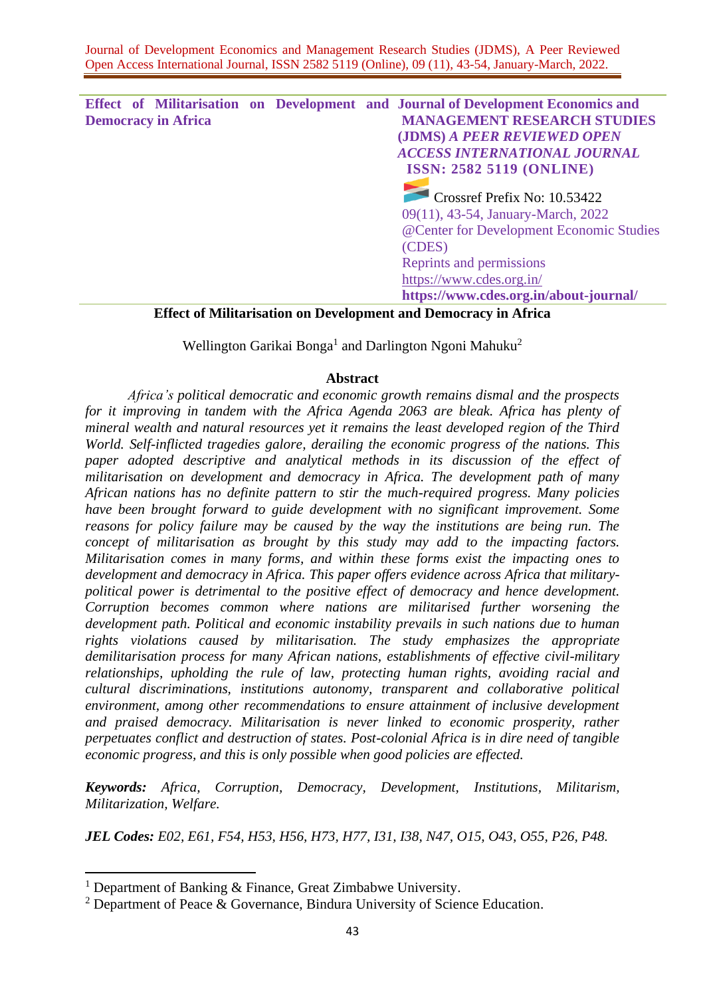**Effect of Militarisation on Development and Journal of Development Economics and Democracy in Africa MANAGEMENT RESEARCH STUDIES (JDMS)** *A PEER REVIEWED OPEN ACCESS INTERNATIONAL JOURNAL* **ISSN: 2582 5119 (ONLINE)** Crossref Prefix No: 10.53422 09(11), 43-54, January-March, 2022 @Center for Development Economic Studies (CDES) Reprints and permissions <https://www.cdes.org.in/> **https://www.cdes.org.in/about-journal/**

# **Effect of Militarisation on Development and Democracy in Africa**

Wellington Garikai Bonga<sup>1</sup> and Darlington Ngoni Mahuku<sup>2</sup>

## **Abstract**

*Africa's political democratic and economic growth remains dismal and the prospects for it improving in tandem with the Africa Agenda 2063 are bleak. Africa has plenty of mineral wealth and natural resources yet it remains the least developed region of the Third World. Self-inflicted tragedies galore, derailing the economic progress of the nations. This paper adopted descriptive and analytical methods in its discussion of the effect of militarisation on development and democracy in Africa. The development path of many African nations has no definite pattern to stir the much-required progress. Many policies have been brought forward to guide development with no significant improvement. Some reasons for policy failure may be caused by the way the institutions are being run. The concept of militarisation as brought by this study may add to the impacting factors. Militarisation comes in many forms, and within these forms exist the impacting ones to development and democracy in Africa. This paper offers evidence across Africa that militarypolitical power is detrimental to the positive effect of democracy and hence development. Corruption becomes common where nations are militarised further worsening the development path. Political and economic instability prevails in such nations due to human rights violations caused by militarisation. The study emphasizes the appropriate demilitarisation process for many African nations, establishments of effective civil-military relationships, upholding the rule of law, protecting human rights, avoiding racial and cultural discriminations, institutions autonomy, transparent and collaborative political environment, among other recommendations to ensure attainment of inclusive development and praised democracy. Militarisation is never linked to economic prosperity, rather perpetuates conflict and destruction of states. Post-colonial Africa is in dire need of tangible economic progress, and this is only possible when good policies are effected.*

*Keywords: Africa, Corruption, Democracy, Development, Institutions, Militarism, Militarization, Welfare.*

*JEL Codes: E02, E61, F54, H53, H56, H73, H77, I31, I38, N47, O15, O43, O55, P26, P48.*

<sup>&</sup>lt;sup>1</sup> Department of Banking & Finance, Great Zimbabwe University.

<sup>2</sup> Department of Peace & Governance, Bindura University of Science Education.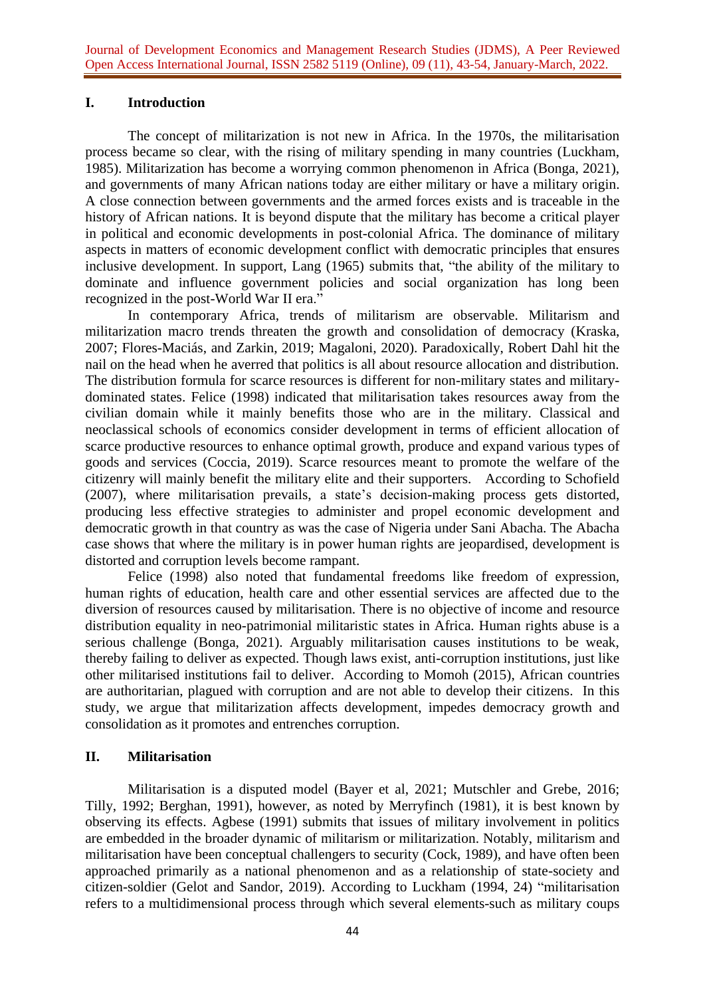### **I. Introduction**

The concept of militarization is not new in Africa. In the 1970s, the militarisation process became so clear, with the rising of military spending in many countries (Luckham, 1985). Militarization has become a worrying common phenomenon in Africa (Bonga, 2021), and governments of many African nations today are either military or have a military origin. A close connection between governments and the armed forces exists and is traceable in the history of African nations. It is beyond dispute that the military has become a critical player in political and economic developments in post-colonial Africa. The dominance of military aspects in matters of economic development conflict with democratic principles that ensures inclusive development. In support, Lang (1965) submits that, "the ability of the military to dominate and influence government policies and social organization has long been recognized in the post-World War II era."

In contemporary Africa, trends of militarism are observable. Militarism and militarization macro trends threaten the growth and consolidation of democracy (Kraska, 2007; Flores-Maciás, and Zarkin, 2019; Magaloni, 2020). Paradoxically, Robert Dahl hit the nail on the head when he averred that politics is all about resource allocation and distribution. The distribution formula for scarce resources is different for non-military states and militarydominated states. Felice (1998) indicated that militarisation takes resources away from the civilian domain while it mainly benefits those who are in the military. Classical and neoclassical schools of economics consider development in terms of efficient allocation of scarce productive resources to enhance optimal growth, produce and expand various types of goods and services (Coccia, 2019). Scarce resources meant to promote the welfare of the citizenry will mainly benefit the military elite and their supporters. According to Schofield (2007), where militarisation prevails, a state's decision-making process gets distorted, producing less effective strategies to administer and propel economic development and democratic growth in that country as was the case of Nigeria under Sani Abacha. The Abacha case shows that where the military is in power human rights are jeopardised, development is distorted and corruption levels become rampant.

Felice (1998) also noted that fundamental freedoms like freedom of expression, human rights of education, health care and other essential services are affected due to the diversion of resources caused by militarisation. There is no objective of income and resource distribution equality in neo-patrimonial militaristic states in Africa. Human rights abuse is a serious challenge (Bonga, 2021). Arguably militarisation causes institutions to be weak, thereby failing to deliver as expected. Though laws exist, anti-corruption institutions, just like other militarised institutions fail to deliver. According to Momoh (2015), African countries are authoritarian, plagued with corruption and are not able to develop their citizens. In this study, we argue that militarization affects development, impedes democracy growth and consolidation as it promotes and entrenches corruption.

#### **II. Militarisation**

Militarisation is a disputed model (Bayer et al, 2021; Mutschler and Grebe, 2016; Tilly, 1992; Berghan, 1991), however, as noted by Merryfinch (1981), it is best known by observing its effects. Agbese (1991) submits that issues of military involvement in politics are embedded in the broader dynamic of militarism or militarization. Notably, militarism and militarisation have been conceptual challengers to security (Cock, 1989), and have often been approached primarily as a national phenomenon and as a relationship of state-society and citizen-soldier (Gelot and Sandor, 2019). According to Luckham (1994, 24) "militarisation refers to a multidimensional process through which several elements-such as military coups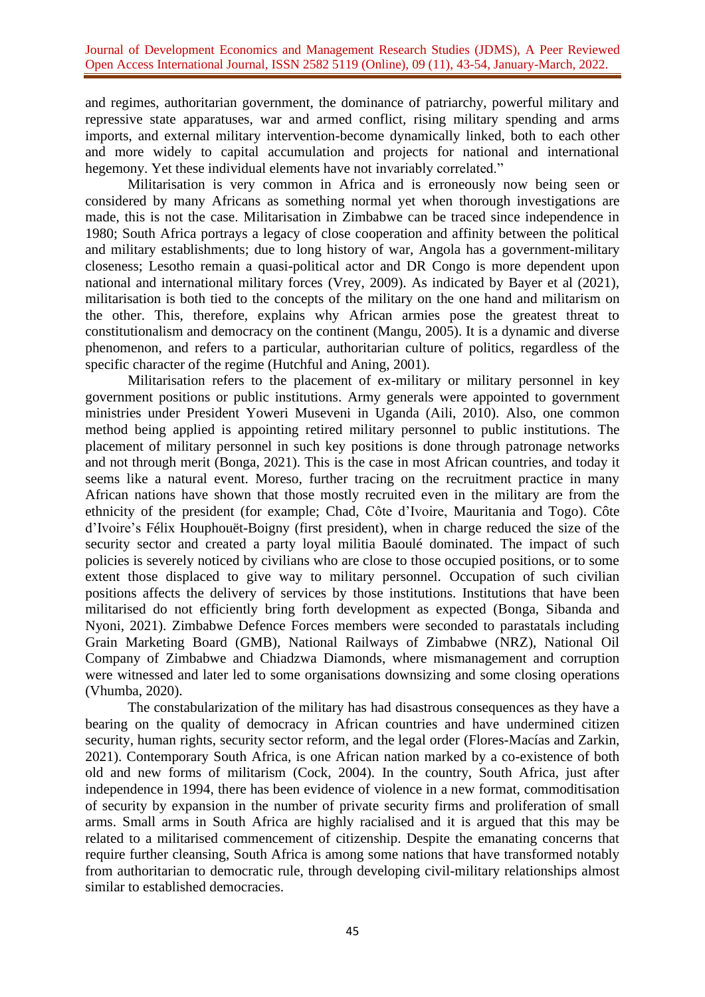and regimes, authoritarian government, the dominance of patriarchy, powerful military and repressive state apparatuses, war and armed conflict, rising military spending and arms imports, and external military intervention-become dynamically linked, both to each other and more widely to capital accumulation and projects for national and international hegemony. Yet these individual elements have not invariably correlated."

Militarisation is very common in Africa and is erroneously now being seen or considered by many Africans as something normal yet when thorough investigations are made, this is not the case. Militarisation in Zimbabwe can be traced since independence in 1980; South Africa portrays a legacy of close cooperation and affinity between the political and military establishments; due to long history of war, Angola has a government-military closeness; Lesotho remain a quasi-political actor and DR Congo is more dependent upon national and international military forces (Vrey, 2009). As indicated by Bayer et al (2021), militarisation is both tied to the concepts of the military on the one hand and militarism on the other. This, therefore, explains why African armies pose the greatest threat to constitutionalism and democracy on the continent (Mangu, 2005). It is a dynamic and diverse phenomenon, and refers to a particular, authoritarian culture of politics, regardless of the specific character of the regime (Hutchful and Aning, 2001).

Militarisation refers to the placement of ex-military or military personnel in key government positions or public institutions. Army generals were appointed to government ministries under President Yoweri Museveni in Uganda (Aili, 2010). Also, one common method being applied is appointing retired military personnel to public institutions. The placement of military personnel in such key positions is done through patronage networks and not through merit (Bonga, 2021). This is the case in most African countries, and today it seems like a natural event. Moreso, further tracing on the recruitment practice in many African nations have shown that those mostly recruited even in the military are from the ethnicity of the president (for example; Chad, Côte d'Ivoire, Mauritania and Togo). Côte d'Ivoire's Félix Houphouët-Boigny (first president), when in charge reduced the size of the security sector and created a party loyal militia Baoulé dominated. The impact of such policies is severely noticed by civilians who are close to those occupied positions, or to some extent those displaced to give way to military personnel. Occupation of such civilian positions affects the delivery of services by those institutions. Institutions that have been militarised do not efficiently bring forth development as expected (Bonga, Sibanda and Nyoni, 2021). Zimbabwe Defence Forces members were seconded to parastatals including Grain Marketing Board (GMB), National Railways of Zimbabwe (NRZ), National Oil Company of Zimbabwe and Chiadzwa Diamonds, where mismanagement and corruption were witnessed and later led to some organisations downsizing and some closing operations (Vhumba, 2020).

The constabularization of the military has had disastrous consequences as they have a bearing on the quality of democracy in African countries and have undermined citizen security, human rights, security sector reform, and the legal order (Flores-Macías and Zarkin, 2021). Contemporary South Africa, is one African nation marked by a co-existence of both old and new forms of militarism (Cock, 2004). In the country, South Africa, just after independence in 1994, there has been evidence of violence in a new format, commoditisation of security by expansion in the number of private security firms and proliferation of small arms. Small arms in South Africa are highly racialised and it is argued that this may be related to a militarised commencement of citizenship. Despite the emanating concerns that require further cleansing, South Africa is among some nations that have transformed notably from authoritarian to democratic rule, through developing civil-military relationships almost similar to established democracies.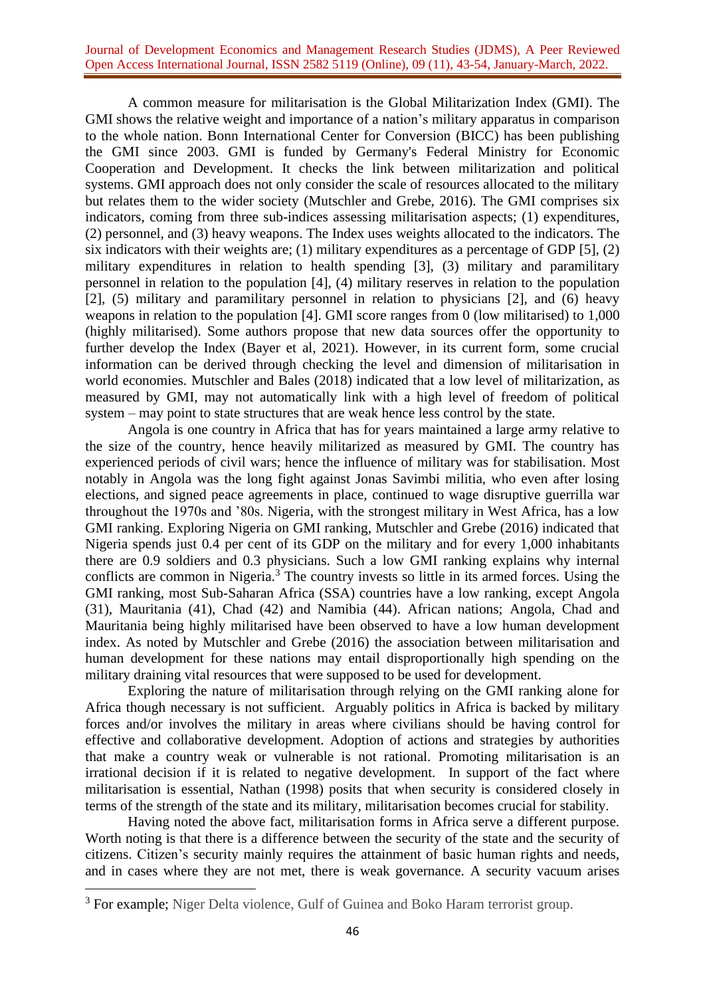A common measure for militarisation is the Global Militarization Index (GMI). The GMI shows the relative weight and importance of a nation's military apparatus in comparison to the whole nation. Bonn International Center for Conversion (BICC) has been publishing the GMI since 2003. GMI is funded by Germany's Federal Ministry for Economic Cooperation and Development. It checks the link between militarization and political systems. GMI approach does not only consider the scale of resources allocated to the military but relates them to the wider society (Mutschler and Grebe, 2016). The GMI comprises six indicators, coming from three sub-indices assessing militarisation aspects; (1) expenditures, (2) personnel, and (3) heavy weapons. The Index uses weights allocated to the indicators. The six indicators with their weights are; (1) military expenditures as a percentage of GDP [5], (2) military expenditures in relation to health spending [3], (3) military and paramilitary personnel in relation to the population [4], (4) military reserves in relation to the population [2], (5) military and paramilitary personnel in relation to physicians [2], and (6) heavy weapons in relation to the population [4]. GMI score ranges from 0 (low militarised) to 1,000 (highly militarised). Some authors propose that new data sources offer the opportunity to further develop the Index (Bayer et al, 2021). However, in its current form, some crucial information can be derived through checking the level and dimension of militarisation in world economies. Mutschler and Bales (2018) indicated that a low level of militarization, as measured by GMI, may not automatically link with a high level of freedom of political system – may point to state structures that are weak hence less control by the state.

Angola is one country in Africa that has for years maintained a large army relative to the size of the country, hence heavily militarized as measured by GMI. The country has experienced periods of civil wars; hence the influence of military was for stabilisation. Most notably in Angola was the long fight against Jonas Savimbi militia, who even after losing elections, and signed peace agreements in place, continued to wage disruptive guerrilla war throughout the 1970s and '80s. Nigeria, with the strongest military in West Africa, has a low GMI ranking. Exploring Nigeria on GMI ranking, Mutschler and Grebe (2016) indicated that Nigeria spends just 0.4 per cent of its GDP on the military and for every 1,000 inhabitants there are 0.9 soldiers and 0.3 physicians. Such a low GMI ranking explains why internal conflicts are common in Nigeria.<sup>3</sup> The country invests so little in its armed forces. Using the GMI ranking, most Sub-Saharan Africa (SSA) countries have a low ranking, except Angola (31), Mauritania (41), Chad (42) and Namibia (44). African nations; Angola, Chad and Mauritania being highly militarised have been observed to have a low human development index. As noted by Mutschler and Grebe (2016) the association between militarisation and human development for these nations may entail disproportionally high spending on the military draining vital resources that were supposed to be used for development.

Exploring the nature of militarisation through relying on the GMI ranking alone for Africa though necessary is not sufficient. Arguably politics in Africa is backed by military forces and/or involves the military in areas where civilians should be having control for effective and collaborative development. Adoption of actions and strategies by authorities that make a country weak or vulnerable is not rational. Promoting militarisation is an irrational decision if it is related to negative development. In support of the fact where militarisation is essential, Nathan (1998) posits that when security is considered closely in terms of the strength of the state and its military, militarisation becomes crucial for stability.

Having noted the above fact, militarisation forms in Africa serve a different purpose. Worth noting is that there is a difference between the security of the state and the security of citizens. Citizen's security mainly requires the attainment of basic human rights and needs, and in cases where they are not met, there is weak governance. A security vacuum arises

<sup>&</sup>lt;sup>3</sup> For example; Niger Delta violence, Gulf of Guinea and Boko Haram terrorist group.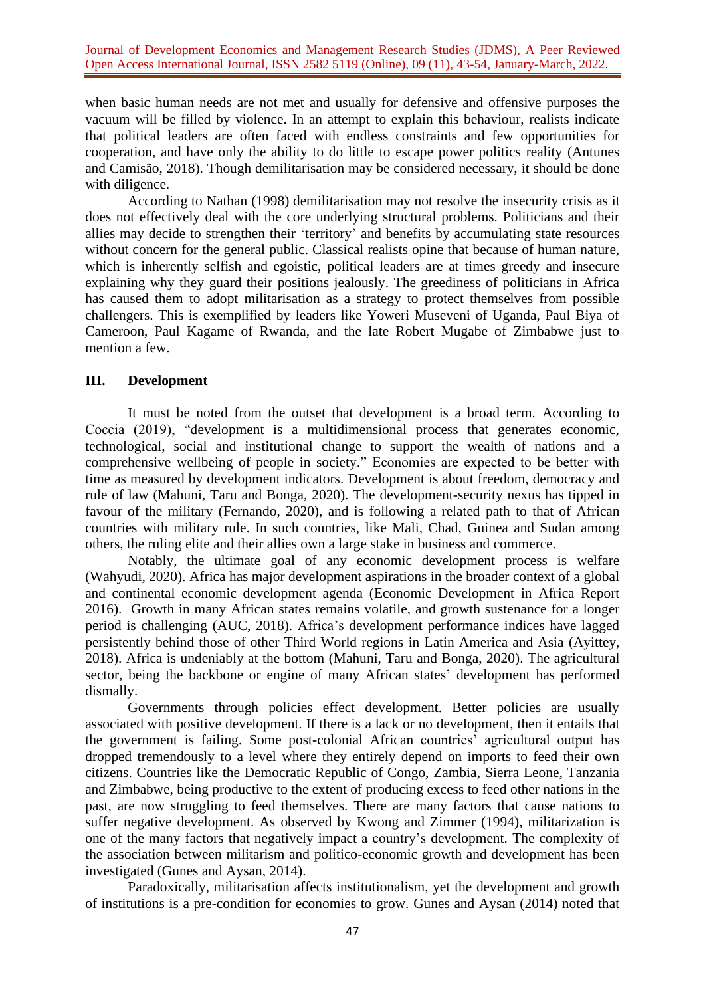when basic human needs are not met and usually for defensive and offensive purposes the vacuum will be filled by violence. In an attempt to explain this behaviour, realists indicate that political leaders are often faced with endless constraints and few opportunities for cooperation, and have only the ability to do little to escape power politics reality (Antunes and Camisão, 2018). Though demilitarisation may be considered necessary, it should be done with diligence.

According to Nathan (1998) demilitarisation may not resolve the insecurity crisis as it does not effectively deal with the core underlying structural problems. Politicians and their allies may decide to strengthen their 'territory' and benefits by accumulating state resources without concern for the general public. Classical realists opine that because of human nature, which is inherently selfish and egoistic, political leaders are at times greedy and insecure explaining why they guard their positions jealously. The greediness of politicians in Africa has caused them to adopt militarisation as a strategy to protect themselves from possible challengers. This is exemplified by leaders like Yoweri Museveni of Uganda, Paul Biya of Cameroon, Paul Kagame of Rwanda, and the late Robert Mugabe of Zimbabwe just to mention a few.

## **III. Development**

It must be noted from the outset that development is a broad term. According to Coccia (2019), "development is a multidimensional process that generates economic, technological, social and institutional change to support the wealth of nations and a comprehensive wellbeing of people in society." Economies are expected to be better with time as measured by development indicators. Development is about freedom, democracy and rule of law (Mahuni, Taru and Bonga, 2020). The development-security nexus has tipped in favour of the military (Fernando, 2020), and is following a related path to that of African countries with military rule. In such countries, like Mali, Chad, Guinea and Sudan among others, the ruling elite and their allies own a large stake in business and commerce.

Notably, the ultimate goal of any economic development process is welfare (Wahyudi, 2020). Africa has major development aspirations in the broader context of a global and continental economic development agenda (Economic Development in Africa Report 2016). Growth in many African states remains volatile, and growth sustenance for a longer period is challenging (AUC, 2018). Africa's development performance indices have lagged persistently behind those of other Third World regions in Latin America and Asia (Ayittey, 2018). Africa is undeniably at the bottom (Mahuni, Taru and Bonga, 2020). The agricultural sector, being the backbone or engine of many African states' development has performed dismally.

Governments through policies effect development. Better policies are usually associated with positive development. If there is a lack or no development, then it entails that the government is failing. Some post-colonial African countries' agricultural output has dropped tremendously to a level where they entirely depend on imports to feed their own citizens. Countries like the Democratic Republic of Congo, Zambia, Sierra Leone, Tanzania and Zimbabwe, being productive to the extent of producing excess to feed other nations in the past, are now struggling to feed themselves. There are many factors that cause nations to suffer negative development. As observed by Kwong and Zimmer (1994), militarization is one of the many factors that negatively impact a country's development. The complexity of the association between militarism and politico-economic growth and development has been investigated (Gunes and Aysan, 2014).

Paradoxically, militarisation affects institutionalism, yet the development and growth of institutions is a pre-condition for economies to grow. Gunes and Aysan (2014) noted that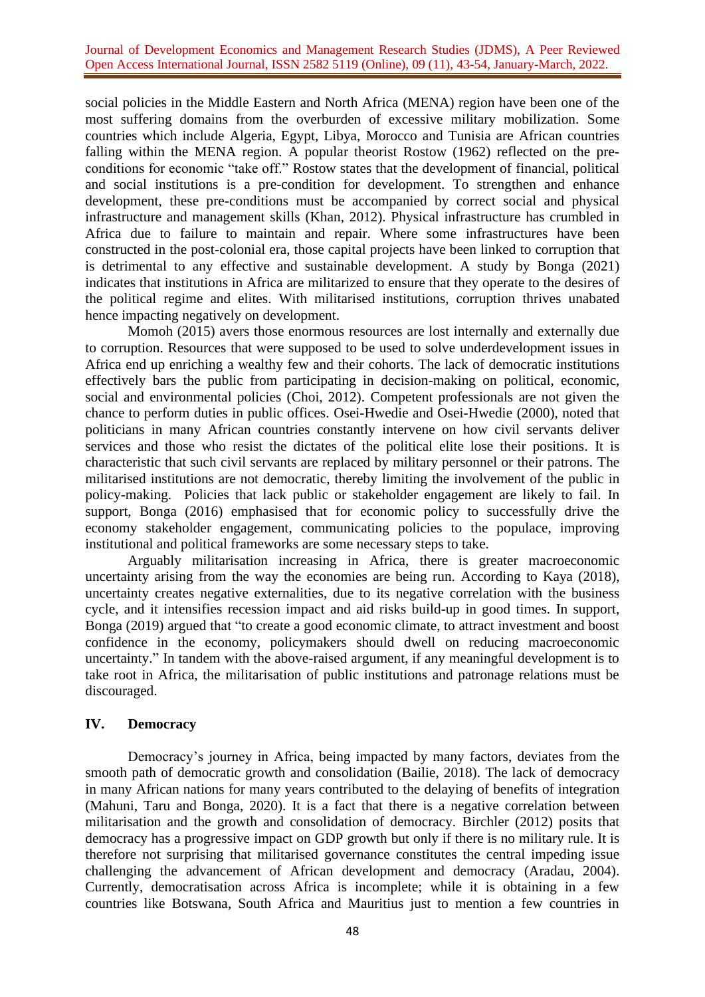social policies in the Middle Eastern and North Africa (MENA) region have been one of the most suffering domains from the overburden of excessive military mobilization. Some countries which include Algeria, Egypt, Libya, Morocco and Tunisia are African countries falling within the MENA region. A popular theorist Rostow (1962) reflected on the preconditions for economic "take off." Rostow states that the development of financial, political and social institutions is a pre-condition for development. To strengthen and enhance development, these pre-conditions must be accompanied by correct social and physical infrastructure and management skills (Khan, 2012). Physical infrastructure has crumbled in Africa due to failure to maintain and repair. Where some infrastructures have been constructed in the post-colonial era, those capital projects have been linked to corruption that is detrimental to any effective and sustainable development. A study by Bonga (2021) indicates that institutions in Africa are militarized to ensure that they operate to the desires of the political regime and elites. With militarised institutions, corruption thrives unabated hence impacting negatively on development.

Momoh (2015) avers those enormous resources are lost internally and externally due to corruption. Resources that were supposed to be used to solve underdevelopment issues in Africa end up enriching a wealthy few and their cohorts. The lack of democratic institutions effectively bars the public from participating in decision-making on political, economic, social and environmental policies (Choi, 2012). Competent professionals are not given the chance to perform duties in public offices. Osei-Hwedie and Osei-Hwedie (2000), noted that politicians in many African countries constantly intervene on how civil servants deliver services and those who resist the dictates of the political elite lose their positions. It is characteristic that such civil servants are replaced by military personnel or their patrons. The militarised institutions are not democratic, thereby limiting the involvement of the public in policy-making. Policies that lack public or stakeholder engagement are likely to fail. In support, Bonga (2016) emphasised that for economic policy to successfully drive the economy stakeholder engagement, communicating policies to the populace, improving institutional and political frameworks are some necessary steps to take.

Arguably militarisation increasing in Africa, there is greater macroeconomic uncertainty arising from the way the economies are being run. According to Kaya (2018), uncertainty creates negative externalities, due to its negative correlation with the business cycle, and it intensifies recession impact and aid risks build-up in good times. In support, Bonga (2019) argued that "to create a good economic climate, to attract investment and boost confidence in the economy, policymakers should dwell on reducing macroeconomic uncertainty." In tandem with the above-raised argument, if any meaningful development is to take root in Africa, the militarisation of public institutions and patronage relations must be discouraged.

## **IV. Democracy**

Democracy's journey in Africa, being impacted by many factors, deviates from the smooth path of democratic growth and consolidation (Bailie, 2018). The lack of democracy in many African nations for many years contributed to the delaying of benefits of integration (Mahuni, Taru and Bonga, 2020). It is a fact that there is a negative correlation between militarisation and the growth and consolidation of democracy. Birchler (2012) posits that democracy has a progressive impact on GDP growth but only if there is no military rule. It is therefore not surprising that militarised governance constitutes the central impeding issue challenging the advancement of African development and democracy (Aradau, 2004). Currently, democratisation across Africa is incomplete; while it is obtaining in a few countries like Botswana, South Africa and Mauritius just to mention a few countries in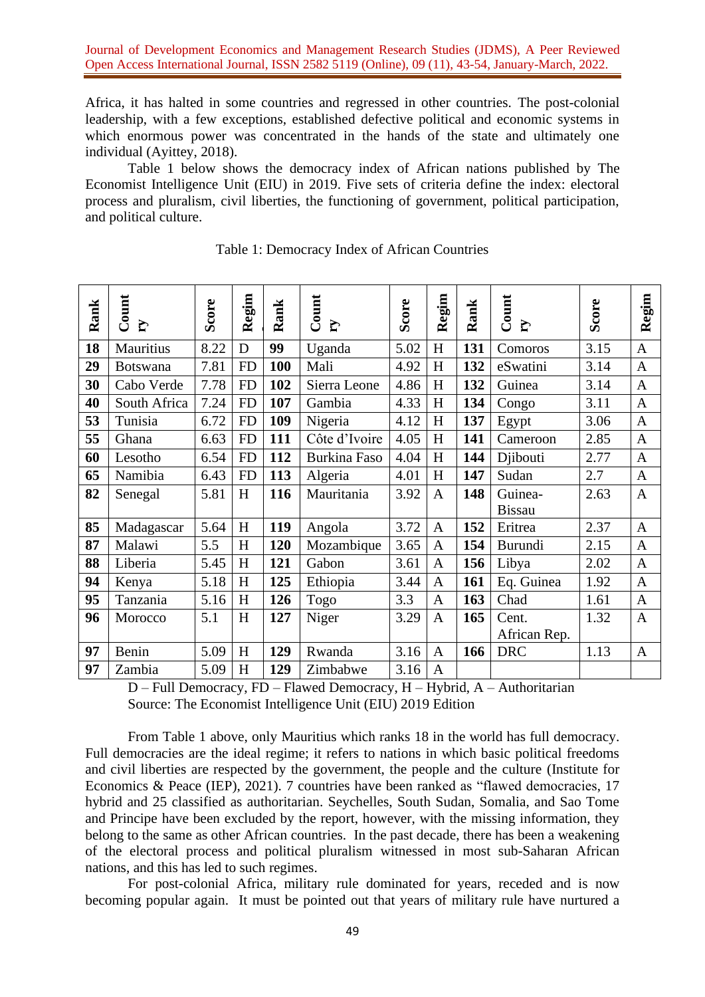Africa, it has halted in some countries and regressed in other countries. The post-colonial leadership, with a few exceptions, established defective political and economic systems in which enormous power was concentrated in the hands of the state and ultimately one individual (Ayittey, 2018).

Table 1 below shows the democracy index of African nations published by The Economist Intelligence Unit (EIU) in 2019. Five sets of criteria define the index: electoral process and pluralism, civil liberties, the functioning of government, political participation, and political culture.

| Rank | Count<br>$\mathbf{r}$ | Score | Regim     | Rank | Count<br>$\mathbf{r}$ | Score | Regim          | Rank | Count<br>$\mathbf{r}$    | Score | Regim          |
|------|-----------------------|-------|-----------|------|-----------------------|-------|----------------|------|--------------------------|-------|----------------|
| 18   | Mauritius             | 8.22  | D         | 99   | Uganda                | 5.02  | H              | 131  | Comoros                  | 3.15  | $\mathbf{A}$   |
| 29   | <b>Botswana</b>       | 7.81  | <b>FD</b> | 100  | Mali                  | 4.92  | H              | 132  | eSwatini                 | 3.14  | $\overline{A}$ |
| 30   | Cabo Verde            | 7.78  | <b>FD</b> | 102  | Sierra Leone          | 4.86  | H              | 132  | Guinea                   | 3.14  | $\mathbf{A}$   |
| 40   | South Africa          | 7.24  | <b>FD</b> | 107  | Gambia                | 4.33  | H              | 134  | Congo                    | 3.11  | $\mathbf{A}$   |
| 53   | Tunisia               | 6.72  | <b>FD</b> | 109  | Nigeria               | 4.12  | H              | 137  | Egypt                    | 3.06  | $\overline{A}$ |
| 55   | Ghana                 | 6.63  | <b>FD</b> | 111  | Côte d'Ivoire         | 4.05  | H              | 141  | Cameroon                 | 2.85  | $\mathbf{A}$   |
| 60   | Lesotho               | 6.54  | <b>FD</b> | 112  | <b>Burkina Faso</b>   | 4.04  | H              | 144  | Djibouti                 | 2.77  | $\mathbf{A}$   |
| 65   | Namibia               | 6.43  | <b>FD</b> | 113  | Algeria               | 4.01  | H              | 147  | Sudan                    | 2.7   | $\overline{A}$ |
| 82   | Senegal               | 5.81  | $H_{\rm}$ | 116  | Mauritania            | 3.92  | $\overline{A}$ | 148  | Guinea-<br><b>Bissau</b> | 2.63  | $\overline{A}$ |
| 85   | Madagascar            | 5.64  | $H_{\rm}$ | 119  | Angola                | 3.72  | $\mathbf{A}$   | 152  | Eritrea                  | 2.37  | A              |
| 87   | Malawi                | 5.5   | H         | 120  | Mozambique            | 3.65  | $\mathbf{A}$   | 154  | <b>Burundi</b>           | 2.15  | $\mathbf{A}$   |
| 88   | Liberia               | 5.45  | H         | 121  | Gabon                 | 3.61  | $\mathbf{A}$   | 156  | Libya                    | 2.02  | $\mathbf{A}$   |
| 94   | Kenya                 | 5.18  | H         | 125  | Ethiopia              | 3.44  | $\mathbf{A}$   | 161  | Eq. Guinea               | 1.92  | $\overline{A}$ |
| 95   | Tanzania              | 5.16  | H         | 126  | Togo                  | 3.3   | $\mathbf{A}$   | 163  | Chad                     | 1.61  | $\mathbf{A}$   |
| 96   | Morocco               | 5.1   | H         | 127  | Niger                 | 3.29  | $\mathbf{A}$   | 165  | Cent.                    | 1.32  | $\overline{A}$ |
|      |                       |       |           |      |                       |       |                |      | African Rep.             |       |                |
| 97   | Benin                 | 5.09  | H         | 129  | Rwanda                | 3.16  | $\mathbf{A}$   | 166  | <b>DRC</b>               | 1.13  | $\mathbf{A}$   |
| 97   | Zambia                | 5.09  | H         | 129  | Zimbabwe              | 3.16  | $\mathbf{A}$   |      |                          |       |                |

#### Table 1: Democracy Index of African Countries

D – Full Democracy, FD – Flawed Democracy, H – Hybrid, A – Authoritarian Source: The Economist Intelligence Unit (EIU) 2019 Edition

From Table 1 above, only Mauritius which ranks 18 in the world has full democracy. Full democracies are the ideal regime; it refers to nations in which basic political freedoms and civil liberties are respected by the government, the people and the culture (Institute for Economics & Peace (IEP), 2021). 7 countries have been ranked as "flawed democracies, 17 hybrid and 25 classified as authoritarian. Seychelles, South Sudan, Somalia, and Sao Tome and Principe have been excluded by the report, however, with the missing information, they belong to the same as other African countries. In the past decade, there has been a weakening of the electoral process and political pluralism witnessed in most sub-Saharan African nations, and this has led to such regimes.

For post-colonial Africa, military rule dominated for years, receded and is now becoming popular again. It must be pointed out that years of military rule have nurtured a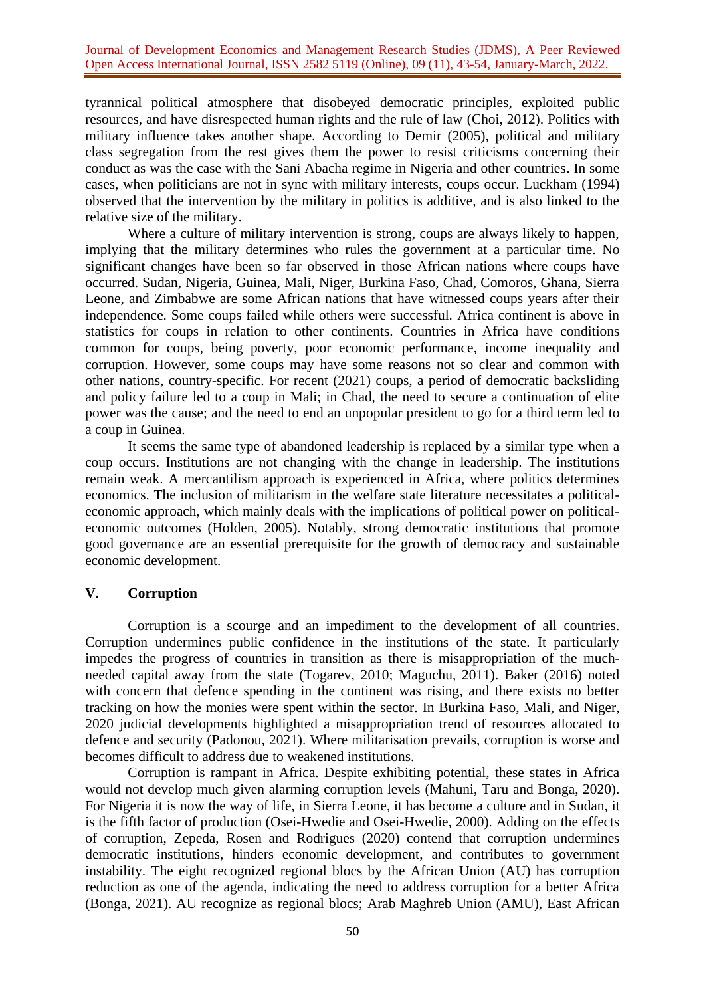tyrannical political atmosphere that disobeyed democratic principles, exploited public resources, and have disrespected human rights and the rule of law (Choi, 2012). Politics with military influence takes another shape. According to Demir (2005), political and military class segregation from the rest gives them the power to resist criticisms concerning their conduct as was the case with the Sani Abacha regime in Nigeria and other countries. In some cases, when politicians are not in sync with military interests, coups occur. Luckham (1994) observed that the intervention by the military in politics is additive, and is also linked to the relative size of the military.

Where a culture of military intervention is strong, coups are always likely to happen, implying that the military determines who rules the government at a particular time. No significant changes have been so far observed in those African nations where coups have occurred. Sudan, Nigeria, Guinea, Mali, Niger, Burkina Faso, Chad, Comoros, Ghana, Sierra Leone, and Zimbabwe are some African nations that have witnessed coups years after their independence. Some coups failed while others were successful. Africa continent is above in statistics for coups in relation to other continents. Countries in Africa have conditions common for coups, being poverty, poor economic performance, income inequality and corruption. However, some coups may have some reasons not so clear and common with other nations, country-specific. For recent (2021) coups, a period of democratic backsliding and policy failure led to a coup in Mali; in Chad, the need to secure a continuation of elite power was the cause; and the need to end an unpopular president to go for a third term led to a coup in Guinea.

It seems the same type of abandoned leadership is replaced by a similar type when a coup occurs. Institutions are not changing with the change in leadership. The institutions remain weak. A mercantilism approach is experienced in Africa, where politics determines economics. The inclusion of militarism in the welfare state literature necessitates a politicaleconomic approach, which mainly deals with the implications of political power on politicaleconomic outcomes (Holden, 2005). Notably, strong democratic institutions that promote good governance are an essential prerequisite for the growth of democracy and sustainable economic development.

## **V. Corruption**

Corruption is a scourge and an impediment to the development of all countries. Corruption undermines public confidence in the institutions of the state. It particularly impedes the progress of countries in transition as there is misappropriation of the muchneeded capital away from the state (Togarev, 2010; Maguchu, 2011). Baker (2016) noted with concern that defence spending in the continent was rising, and there exists no better tracking on how the monies were spent within the sector. In Burkina Faso, Mali, and Niger, 2020 judicial developments highlighted a misappropriation trend of resources allocated to defence and security (Padonou, 2021). Where militarisation prevails, corruption is worse and becomes difficult to address due to weakened institutions.

Corruption is rampant in Africa. Despite exhibiting potential, these states in Africa would not develop much given alarming corruption levels (Mahuni, Taru and Bonga, 2020). For Nigeria it is now the way of life, in Sierra Leone, it has become a culture and in Sudan, it is the fifth factor of production (Osei-Hwedie and Osei-Hwedie, 2000). Adding on the effects of corruption, Zepeda, Rosen and Rodrigues (2020) contend that corruption undermines democratic institutions, hinders economic development, and contributes to government instability. The eight recognized regional blocs by the African Union (AU) has corruption reduction as one of the agenda, indicating the need to address corruption for a better Africa (Bonga, 2021). AU recognize as regional blocs; Arab Maghreb Union (AMU), East African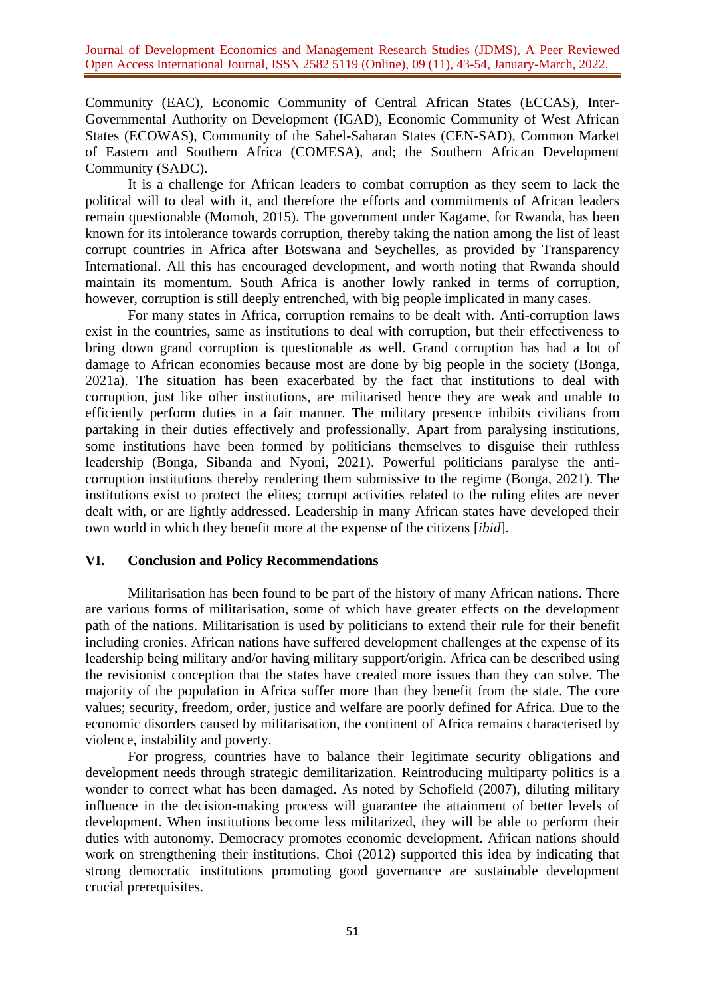Community (EAC), Economic Community of Central African States (ECCAS), Inter-Governmental Authority on Development (IGAD), Economic Community of West African States (ECOWAS), Community of the Sahel-Saharan States (CEN-SAD), Common Market of Eastern and Southern Africa (COMESA), and; the Southern African Development Community (SADC).

It is a challenge for African leaders to combat corruption as they seem to lack the political will to deal with it, and therefore the efforts and commitments of African leaders remain questionable (Momoh, 2015). The government under Kagame, for Rwanda, has been known for its intolerance towards corruption, thereby taking the nation among the list of least corrupt countries in Africa after Botswana and Seychelles, as provided by Transparency International. All this has encouraged development, and worth noting that Rwanda should maintain its momentum. South Africa is another lowly ranked in terms of corruption, however, corruption is still deeply entrenched, with big people implicated in many cases.

For many states in Africa, corruption remains to be dealt with. Anti-corruption laws exist in the countries, same as institutions to deal with corruption, but their effectiveness to bring down grand corruption is questionable as well. Grand corruption has had a lot of damage to African economies because most are done by big people in the society (Bonga, 2021a). The situation has been exacerbated by the fact that institutions to deal with corruption, just like other institutions, are militarised hence they are weak and unable to efficiently perform duties in a fair manner. The military presence inhibits civilians from partaking in their duties effectively and professionally. Apart from paralysing institutions, some institutions have been formed by politicians themselves to disguise their ruthless leadership (Bonga, Sibanda and Nyoni, 2021). Powerful politicians paralyse the anticorruption institutions thereby rendering them submissive to the regime (Bonga, 2021). The institutions exist to protect the elites; corrupt activities related to the ruling elites are never dealt with, or are lightly addressed. Leadership in many African states have developed their own world in which they benefit more at the expense of the citizens [*ibid*].

## **VI. Conclusion and Policy Recommendations**

Militarisation has been found to be part of the history of many African nations. There are various forms of militarisation, some of which have greater effects on the development path of the nations. Militarisation is used by politicians to extend their rule for their benefit including cronies. African nations have suffered development challenges at the expense of its leadership being military and/or having military support/origin. Africa can be described using the revisionist conception that the states have created more issues than they can solve. The majority of the population in Africa suffer more than they benefit from the state. The core values; security, freedom, order, justice and welfare are poorly defined for Africa. Due to the economic disorders caused by militarisation, the continent of Africa remains characterised by violence, instability and poverty.

For progress, countries have to balance their legitimate security obligations and development needs through strategic demilitarization. Reintroducing multiparty politics is a wonder to correct what has been damaged. As noted by Schofield (2007), diluting military influence in the decision-making process will guarantee the attainment of better levels of development. When institutions become less militarized, they will be able to perform their duties with autonomy. Democracy promotes economic development. African nations should work on strengthening their institutions. Choi (2012) supported this idea by indicating that strong democratic institutions promoting good governance are sustainable development crucial prerequisites.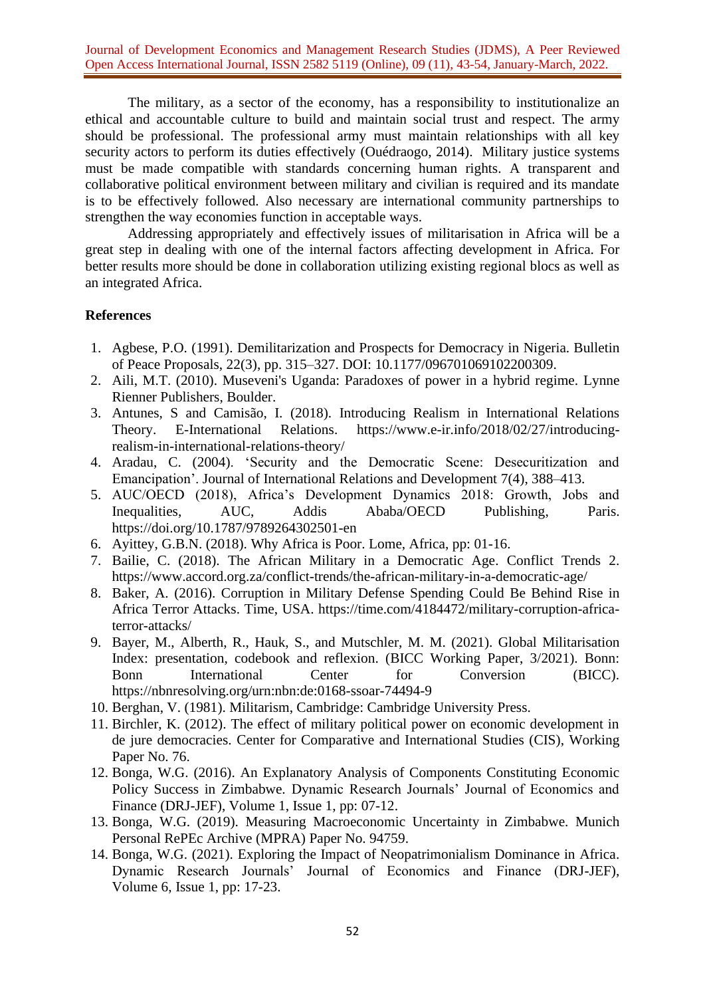The military, as a sector of the economy, has a responsibility to institutionalize an ethical and accountable culture to build and maintain social trust and respect. The army should be professional. The professional army must maintain relationships with all key security actors to perform its duties effectively (Ouédraogo, 2014). Military justice systems must be made compatible with standards concerning human rights. A transparent and collaborative political environment between military and civilian is required and its mandate is to be effectively followed. Also necessary are international community partnerships to strengthen the way economies function in acceptable ways.

Addressing appropriately and effectively issues of militarisation in Africa will be a great step in dealing with one of the internal factors affecting development in Africa. For better results more should be done in collaboration utilizing existing regional blocs as well as an integrated Africa.

#### **References**

- 1. Agbese, P.O. (1991). Demilitarization and Prospects for Democracy in Nigeria. Bulletin of Peace Proposals, 22(3), pp. 315–327. DOI: 10.1177/096701069102200309.
- 2. Aili, M.T. (2010). Museveni's Uganda: Paradoxes of power in a hybrid regime. Lynne Rienner Publishers, Boulder.
- 3. Antunes, S and Camisão, I. (2018). Introducing Realism in International Relations Theory. E-International Relations. [https://www.e-ir.info/2018/02/27/introducing](https://www.e-ir.info/2018/02/27/introducing-realism-in-international-relations-theory/)[realism-in-international-relations-theory/](https://www.e-ir.info/2018/02/27/introducing-realism-in-international-relations-theory/)
- 4. Aradau, C. (2004). 'Security and the Democratic Scene: Desecuritization and Emancipation'. Journal of International Relations and Development 7(4), 388–413.
- 5. AUC/OECD (2018), Africa's Development Dynamics 2018: Growth, Jobs and Inequalities, AUC, Addis Ababa/OECD Publishing, Paris. <https://doi.org/10.1787/9789264302501-en>
- 6. Ayittey, G.B.N. (2018). Why Africa is Poor. Lome, Africa, pp: 01-16.
- 7. Bailie, C. (2018). The African Military in a Democratic Age. Conflict Trends 2. <https://www.accord.org.za/conflict-trends/the-african-military-in-a-democratic-age/>
- 8. Baker, A. (2016). Corruption in Military Defense Spending Could Be Behind Rise in Africa Terror Attacks. Time, USA. [https://time.com/4184472/military-corruption-africa](https://time.com/4184472/military-corruption-africa-terror-attacks/)[terror-attacks/](https://time.com/4184472/military-corruption-africa-terror-attacks/)
- 9. Bayer, M., Alberth, R., Hauk, S., and Mutschler, M. M. (2021). Global Militarisation Index: presentation, codebook and reflexion. (BICC Working Paper, 3/2021). Bonn: Bonn International Center for Conversion (BICC). <https://nbnresolving.org/urn:nbn:de:0168-ssoar-74494-9>
- 10. Berghan, V. (1981). Militarism, Cambridge: Cambridge University Press.
- 11. Birchler, K. (2012). The effect of military political power on economic development in de jure democracies. Center for Comparative and International Studies (CIS), Working Paper No. 76.
- 12. Bonga, W.G. (2016). An Explanatory Analysis of Components Constituting Economic Policy Success in Zimbabwe. Dynamic Research Journals' Journal of Economics and Finance (DRJ-JEF), Volume 1, Issue 1, pp: 07-12.
- 13. Bonga, W.G. (2019). Measuring Macroeconomic Uncertainty in Zimbabwe. Munich Personal RePEc Archive (MPRA) Paper No. 94759.
- 14. Bonga, W.G. (2021). Exploring the Impact of Neopatrimonialism Dominance in Africa. Dynamic Research Journals' Journal of Economics and Finance (DRJ-JEF), Volume 6, Issue 1, pp: 17-23.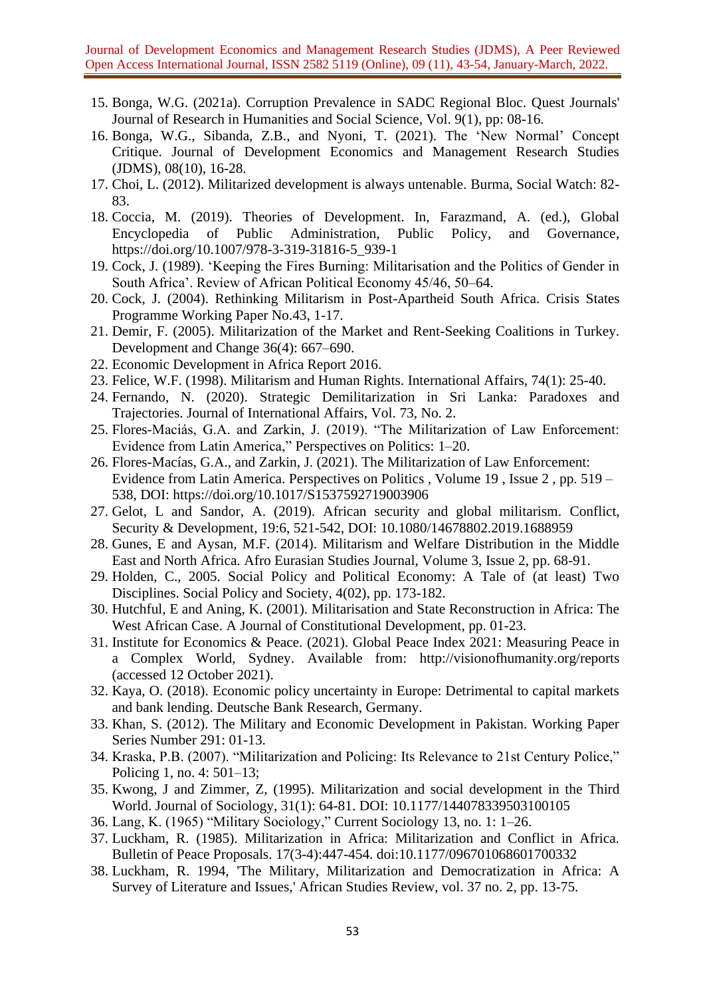- 15. Bonga, W.G. (2021a). Corruption Prevalence in SADC Regional Bloc. Quest Journals' Journal of Research in Humanities and Social Science, Vol. 9(1), pp: 08-16.
- 16. Bonga, W.G., Sibanda, Z.B., and Nyoni, T. (2021). The 'New Normal' Concept Critique. Journal of Development Economics and Management Research Studies (JDMS), 08(10), 16-28.
- 17. Choi, L. (2012). Militarized development is always untenable. Burma, Social Watch: 82- 83.
- 18. Coccia, M. (2019). Theories of Development. In, Farazmand, A. (ed.), Global Encyclopedia of Public Administration, Public Policy, and Governance, [https://doi.org/10.1007/978-3-319-31816-5\\_939-1](https://doi.org/10.1007/978-3-319-31816-5_939-1)
- 19. Cock, J. (1989). 'Keeping the Fires Burning: Militarisation and the Politics of Gender in South Africa'. Review of African Political Economy 45/46, 50–64.
- 20. Cock, J. (2004). Rethinking Militarism in Post-Apartheid South Africa. Crisis States Programme Working Paper No.43, 1-17.
- 21. Demir, F. (2005). Militarization of the Market and Rent-Seeking Coalitions in Turkey. Development and Change 36(4): 667–690.
- 22. Economic Development in Africa Report 2016.
- 23. Felice, W.F. (1998). Militarism and Human Rights. International Affairs, 74(1): 25-40.
- 24. Fernando, N. (2020). Strategic Demilitarization in Sri Lanka: Paradoxes and Trajectories. Journal of International Affairs, Vol. 73, No. 2.
- 25. Flores-Maciás, G.A. and Zarkin, J. (2019). "The Militarization of Law Enforcement: Evidence from Latin America," Perspectives on Politics: 1–20.
- 26. Flores-Macías, G.A., and Zarkin, J. (2021). The Militarization of Law Enforcement: Evidence from Latin America. [Perspectives](https://www.cambridge.org/core/journals/perspectives-on-politics) on Politics , [Volume](https://www.cambridge.org/core/journals/perspectives-on-politics/volume/A367F6048FCDB90884AAC7A7473D53D8) 19 , [Issue](https://www.cambridge.org/core/journals/perspectives-on-politics/issue/5C868173E16D15199A51855AD911861F) 2 , pp. 519 – 538, DOI:<https://doi.org/10.1017/S1537592719003906>
- 27. Gelot, L and Sandor, A. (2019). African security and global militarism. Conflict, Security & Development, 19:6, 521-542, DOI: 10.1080/14678802.2019.1688959
- 28. Gunes, E and Aysan, M.F. (2014). Militarism and Welfare Distribution in the Middle East and North Africa. Afro Eurasian Studies Journal, Volume 3, Issue 2, pp. 68-91.
- 29. Holden, C., 2005. Social Policy and Political Economy: A Tale of (at least) Two Disciplines. Social Policy and Society, 4(02), pp. 173-182.
- 30. Hutchful, E and Aning, K. (2001). Militarisation and State Reconstruction in Africa: The West African Case. A Journal of Constitutional Development, pp. 01-23.
- 31. Institute for Economics & Peace. (2021). Global Peace Index 2021: Measuring Peace in a Complex World, Sydney. Available from: <http://visionofhumanity.org/reports> (accessed 12 October 2021).
- 32. Kaya, O. (2018). Economic policy uncertainty in Europe: Detrimental to capital markets and bank lending. Deutsche Bank Research, Germany.
- 33. Khan, S. (2012). The Military and Economic Development in Pakistan. Working Paper Series Number 291: 01-13.
- 34. Kraska, P.B. (2007). "Militarization and Policing: Its Relevance to 21st Century Police," Policing 1, no. 4: 501–13;
- 35. Kwong, J and Zimmer, Z, (1995). Militarization and social development in the Third World. Journal of Sociology, 31(1): 64-81. DOI: 10.1177/144078339503100105
- 36. Lang, K. (1965) "Military Sociology," Current Sociology 13, no. 1: 1–26.
- 37. Luckham, R. (1985). Militarization in Africa: Militarization and Conflict in Africa. Bulletin of Peace Proposals. 17(3-4):447-454. doi[:10.1177/096701068601700332](https://doi.org/10.1177/096701068601700332)
- 38. Luckham, R. 1994, 'The Military, Militarization and Democratization in Africa: A Survey of Literature and Issues,' African Studies Review, vol. 37 no. 2, pp. 13-75.